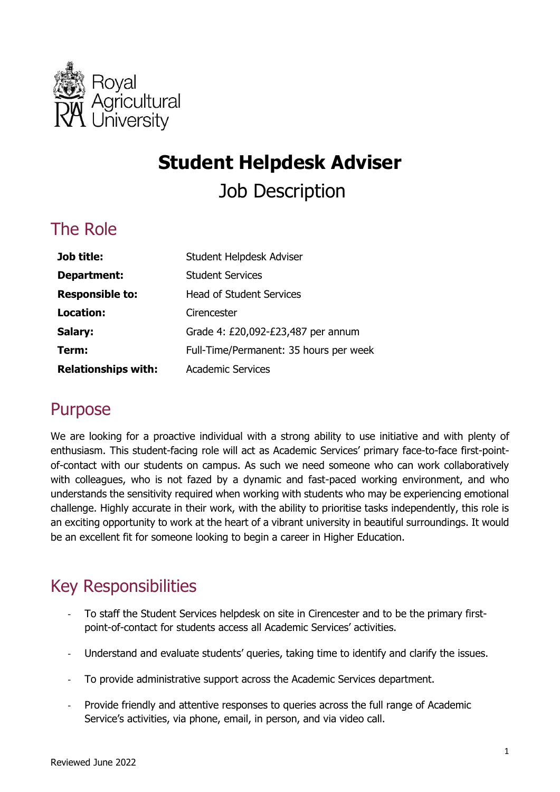

# **Student Helpdesk Adviser**

Job Description

## The Role

| Job title:                 | Student Helpdesk Adviser               |
|----------------------------|----------------------------------------|
| Department:                | <b>Student Services</b>                |
| <b>Responsible to:</b>     | <b>Head of Student Services</b>        |
| Location:                  | Cirencester                            |
| Salary:                    | Grade 4: £20,092-£23,487 per annum     |
| Term:                      | Full-Time/Permanent: 35 hours per week |
| <b>Relationships with:</b> | <b>Academic Services</b>               |

#### Purpose

 We are looking for a proactive individual with a strong ability to use initiative and with plenty of enthusiasm. This student-facing role will act as Academic Services' primary face-to-face first-point- of-contact with our students on campus. As such we need someone who can work collaboratively with colleagues, who is not fazed by a dynamic and fast-paced working environment, and who understands the sensitivity required when working with students who may be experiencing emotional challenge. Highly accurate in their work, with the ability to prioritise tasks independently, this role is an exciting opportunity to work at the heart of a vibrant university in beautiful surroundings. It would be an excellent fit for someone looking to begin a career in Higher Education.

# Key Responsibilities

- To staff the Student Services helpdesk on site in Cirencester and to be the primary firstpoint-of-contact for students access all Academic Services' activities.
- Understand and evaluate students' queries, taking time to identify and clarify the issues.
- To provide administrative support across the Academic Services department.
- Provide friendly and attentive responses to queries across the full range of Academic Service's activities, via phone, email, in person, and via video call.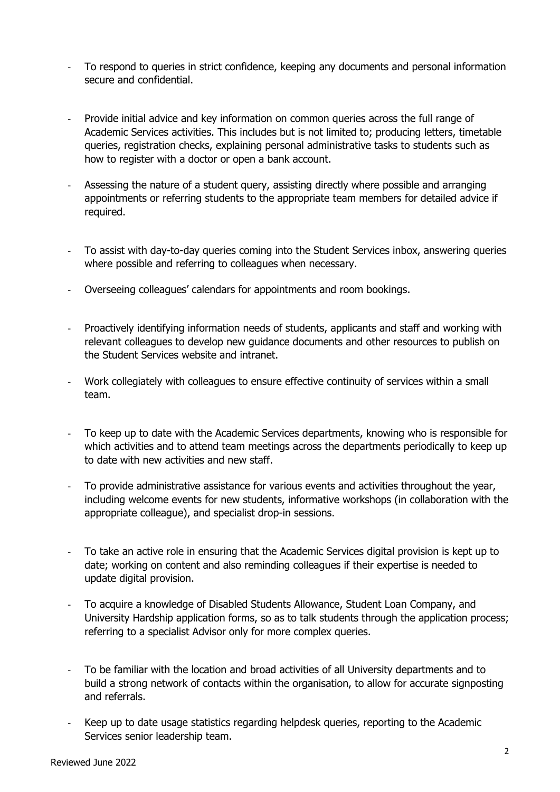- To respond to queries in strict confidence, keeping any documents and personal information secure and confidential.
- Provide initial advice and key information on common queries across the full range of Academic Services activities. This includes but is not limited to; producing letters, timetable queries, registration checks, explaining personal administrative tasks to students such as how to register with a doctor or open a bank account.
- Assessing the nature of a student query, assisting directly where possible and arranging appointments or referring students to the appropriate team members for detailed advice if required.
- To assist with day-to-day queries coming into the Student Services inbox, answering queries where possible and referring to colleagues when necessary.
- Overseeing colleagues' calendars for appointments and room bookings.
- Proactively identifying information needs of students, applicants and staff and working with relevant colleagues to develop new guidance documents and other resources to publish on the Student Services website and intranet.
- Work collegiately with colleagues to ensure effective continuity of services within a small team.
- To keep up to date with the Academic Services departments, knowing who is responsible for which activities and to attend team meetings across the departments periodically to keep up to date with new activities and new staff.
- To provide administrative assistance for various events and activities throughout the year, including welcome events for new students, informative workshops (in collaboration with the appropriate colleague), and specialist drop-in sessions.
- To take an active role in ensuring that the Academic Services digital provision is kept up to date; working on content and also reminding colleagues if their expertise is needed to update digital provision.
- To acquire a knowledge of Disabled Students Allowance, Student Loan Company, and University Hardship application forms, so as to talk students through the application process; referring to a specialist Advisor only for more complex queries.
- To be familiar with the location and broad activities of all University departments and to build a strong network of contacts within the organisation, to allow for accurate signposting and referrals.
- Keep up to date usage statistics regarding helpdesk queries, reporting to the Academic Services senior leadership team.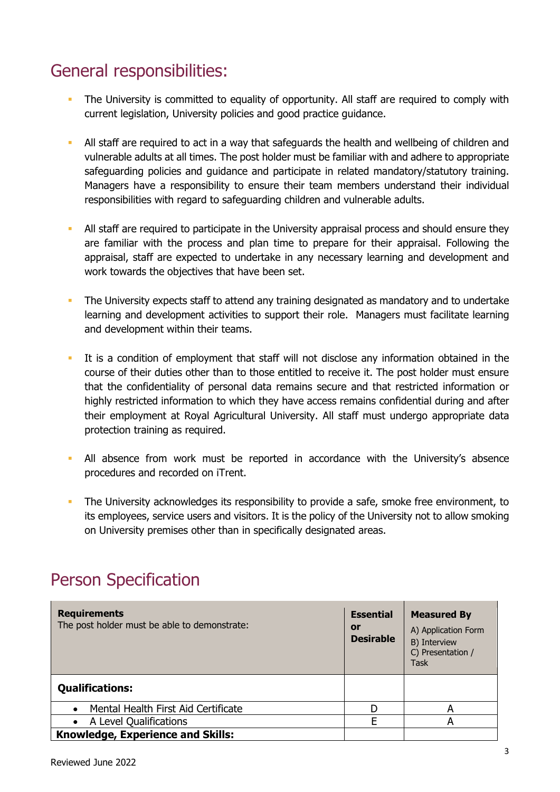# General responsibilities:

- The University is committed to equality of opportunity. All staff are required to comply with current legislation, University policies and good practice guidance.
- All staff are required to act in a way that safeguards the health and wellbeing of children and vulnerable adults at all times. The post holder must be familiar with and adhere to appropriate safeguarding policies and guidance and participate in related mandatory/statutory training. Managers have a responsibility to ensure their team members understand their individual responsibilities with regard to safeguarding children and vulnerable adults.
- All staff are required to participate in the University appraisal process and should ensure they are familiar with the process and plan time to prepare for their appraisal. Following the appraisal, staff are expected to undertake in any necessary learning and development and work towards the objectives that have been set.
- The University expects staff to attend any training designated as mandatory and to undertake learning and development activities to support their role. Managers must facilitate learning and development within their teams.
- It is a condition of employment that staff will not disclose any information obtained in the course of their duties other than to those entitled to receive it. The post holder must ensure highly restricted information to which they have access remains confidential during and after their employment at Royal Agricultural University. All staff must undergo appropriate data that the confidentiality of personal data remains secure and that restricted information or protection training as required.
- All absence from work must be reported in accordance with the University's absence procedures and recorded on iTrent.
- The University acknowledges its responsibility to provide a safe, smoke free environment, to its employees, service users and visitors. It is the policy of the University not to allow smoking on University premises other than in specifically designated areas.

| <b>Requirements</b><br>The post holder must be able to demonstrate: | <b>Essential</b><br>or<br><b>Desirable</b> | <b>Measured By</b><br>A) Application Form<br>B) Interview<br>C) Presentation /<br>Task |
|---------------------------------------------------------------------|--------------------------------------------|----------------------------------------------------------------------------------------|
| <b>Qualifications:</b>                                              |                                            |                                                                                        |
| Mental Health First Aid Certificate                                 |                                            | А                                                                                      |
| A Level Qualifications                                              | F                                          | А                                                                                      |
| Knowledge, Experience and Skills:                                   |                                            |                                                                                        |

### Person Specification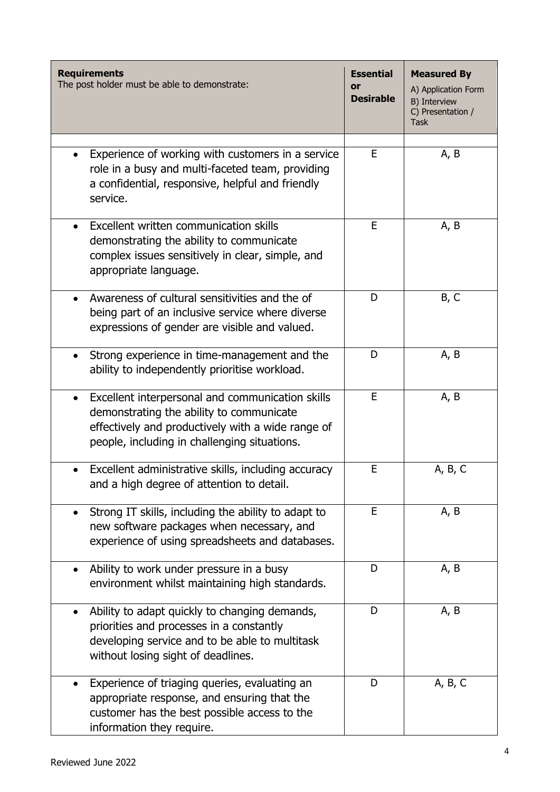| <b>Requirements</b><br>The post holder must be able to demonstrate:                                                                                                                                            | <b>Essential</b><br>or<br><b>Desirable</b> | <b>Measured By</b><br>A) Application Form<br>B) Interview<br>C) Presentation /<br>Task |
|----------------------------------------------------------------------------------------------------------------------------------------------------------------------------------------------------------------|--------------------------------------------|----------------------------------------------------------------------------------------|
| Experience of working with customers in a service<br>role in a busy and multi-faceted team, providing<br>a confidential, responsive, helpful and friendly<br>service.                                          | E                                          | A, B                                                                                   |
| Excellent written communication skills<br>demonstrating the ability to communicate<br>complex issues sensitively in clear, simple, and<br>appropriate language.                                                | E                                          | A, B                                                                                   |
| Awareness of cultural sensitivities and the of<br>being part of an inclusive service where diverse<br>expressions of gender are visible and valued.                                                            | D                                          | B, C                                                                                   |
| Strong experience in time-management and the<br>ability to independently prioritise workload.                                                                                                                  | D                                          | A, B                                                                                   |
| Excellent interpersonal and communication skills<br>$\bullet$<br>demonstrating the ability to communicate<br>effectively and productively with a wide range of<br>people, including in challenging situations. | E                                          | A, B                                                                                   |
| Excellent administrative skills, including accuracy<br>and a high degree of attention to detail.                                                                                                               | E                                          | A, B, C                                                                                |
| Strong IT skills, including the ability to adapt to<br>new software packages when necessary, and<br>experience of using spreadsheets and databases.                                                            | E                                          | A, B                                                                                   |
| Ability to work under pressure in a busy<br>environment whilst maintaining high standards.                                                                                                                     | D                                          | A, B                                                                                   |
| Ability to adapt quickly to changing demands,<br>$\bullet$<br>priorities and processes in a constantly<br>developing service and to be able to multitask<br>without losing sight of deadlines.                 | D                                          | A, B                                                                                   |
| Experience of triaging queries, evaluating an<br>appropriate response, and ensuring that the<br>customer has the best possible access to the<br>information they require.                                      | D                                          | A, B, C                                                                                |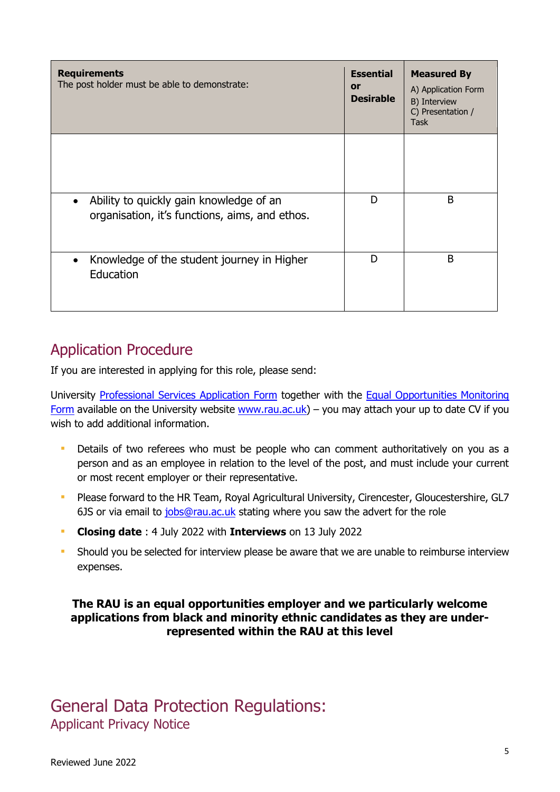| <b>Requirements</b><br>The post holder must be able to demonstrate:                                    | <b>Essential</b><br><b>or</b><br><b>Desirable</b> | <b>Measured By</b><br>A) Application Form<br>B) Interview<br>C) Presentation /<br><b>Task</b> |
|--------------------------------------------------------------------------------------------------------|---------------------------------------------------|-----------------------------------------------------------------------------------------------|
|                                                                                                        |                                                   |                                                                                               |
| Ability to quickly gain knowledge of an<br>$\bullet$<br>organisation, it's functions, aims, and ethos. | D                                                 | B                                                                                             |
| Knowledge of the student journey in Higher<br>Education                                                | D                                                 | B                                                                                             |

#### Application Procedure

If you are interested in applying for this role, please send:

University [Professional Services Application Form](https://www.rau.ac.uk/sites/files/rau/Application-PROFESSIONAL-SERVICES-Mar-2018.docx) together with the Equal Opportunities Monitoring [Form](https://www.rau.ac.uk/sites/files/rau/Equal%20Opportunities%20Monitoring%20Form%20Feb%202018.doc) available on the University website [www.rau.ac.uk\)](https://www.rau.ac.uk/about-us/jobs) – you may attach your up to date CV if you wish to add additional information.

- **Details of two referees who must be people who can comment authoritatively on you as a**  person and as an employee in relation to the level of the post, and must include your current or most recent employer or their representative.
- **Please forward to the HR Team, Royal Agricultural University, Cirencester, Gloucestershire, GL7** 6JS or via email to [jobs@rau.ac.uk](mailto:jobs@rau.ac.uk) stating where you saw the advert for the role
- **Closing date** : 4 July 2022 with **Interviews** on 13 July 2022
- **Should you be selected for interview please be aware that we are unable to reimburse interview** expenses.

#### **The RAU is an equal opportunities employer and we particularly welcome applications from black and minority ethnic candidates as they are under- represented within the RAU at this level**

#### General Data Protection Regulations: Applicant Privacy Notice